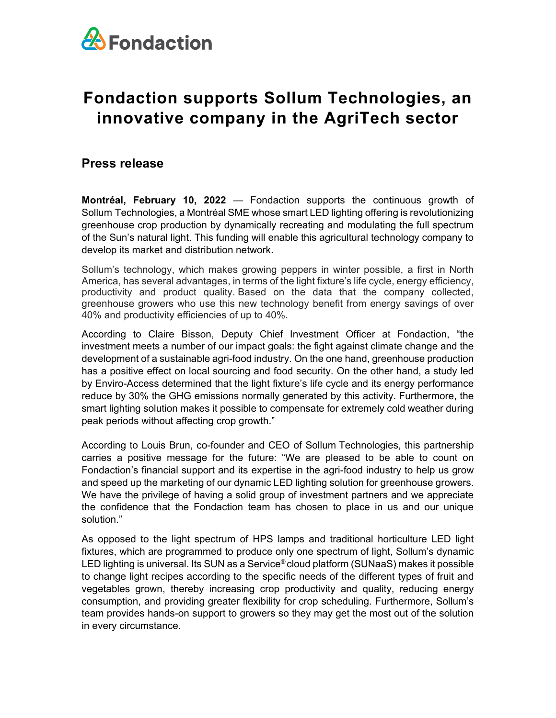

## **Fondaction supports Sollum Technologies, an innovative company in the AgriTech sector**

## **Press release**

**Montréal, February 10, 2022** — Fondaction supports the continuous growth of Sollum [Technologies,](https://sollumtechnologies.com/) a Montréal SME whose smart LED lighting offering is revolutionizing greenhouse crop production by dynamically recreating and modulating the full spectrum of the Sun's natural light. This funding will enable this agricultural technology company to develop its market and distribution network.

Sollum's technology, which makes growing peppers in winter possible, a first in North America, has several advantages, in terms of the light fixture's life cycle, energy efficiency, productivity and product quality. Based on the data that the company collected, greenhouse growers who use this new technology benefit from energy savings of over 40% and productivity efficiencies of up to 40%.

According to Claire Bisson, Deputy Chief Investment Officer at Fondaction, "the investment meets a number of our impact goals: the fight against climate change and the development of a sustainable agri-food industry. On the one hand, greenhouse production has a positive effect on local sourcing and food security. On the other hand, a study led by Enviro-Access determined that the light fixture's life cycle and its energy performance reduce by 30% the GHG emissions normally generated by this activity. Furthermore, the smart lighting solution makes it possible to compensate for extremely cold weather during peak periods without affecting crop growth." 

According to Louis Brun, co-founder and CEO of Sollum Technologies, this partnership carries a positive message for the future: "We are pleased to be able to count on Fondaction's financial support and its expertise in the agri-food industry to help us grow and speed up the marketing of our dynamic LED lighting solution for greenhouse growers. We have the privilege of having a solid group of investment partners and we appreciate the confidence that the Fondaction team has chosen to place in us and our unique solution."

As opposed to the light spectrum of HPS lamps and traditional horticulture LED light fixtures, which are programmed to produce only one spectrum of light, Sollum's dynamic LED lighting is universal. Its SUN as a Service® cloud platform (SUNaaS) makes it possible to change light recipes according to the specific needs of the different types of fruit and vegetables grown, thereby increasing crop productivity and quality, reducing energy consumption, and providing greater flexibility for crop scheduling. Furthermore, Sollum's team provides hands-on support to growers so they may get the most out of the solution in every circumstance.